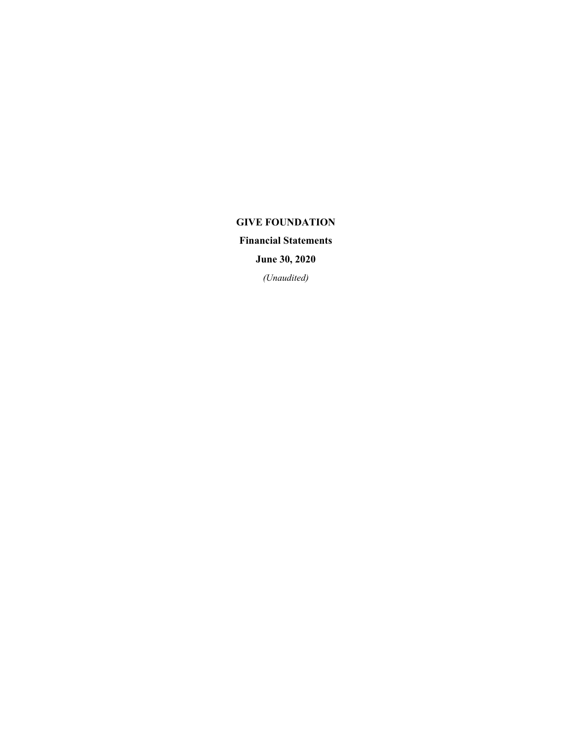# **GIVE FOUNDATION**

**Financial Statements**

**June 30, 2020**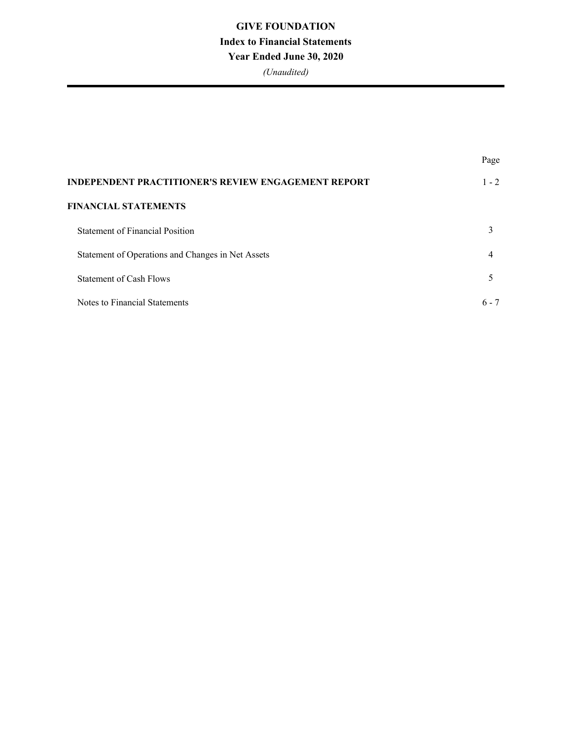# **GIVE FOUNDATION Index to Financial Statements Year Ended June 30, 2020**

|                                                            | Page    |
|------------------------------------------------------------|---------|
| <b>INDEPENDENT PRACTITIONER'S REVIEW ENGAGEMENT REPORT</b> | $1 - 2$ |
| <b>FINANCIAL STATEMENTS</b>                                |         |
| <b>Statement of Financial Position</b>                     | 3       |
| Statement of Operations and Changes in Net Assets          | 4       |
| Statement of Cash Flows                                    |         |
| Notes to Financial Statements                              | $6 - 7$ |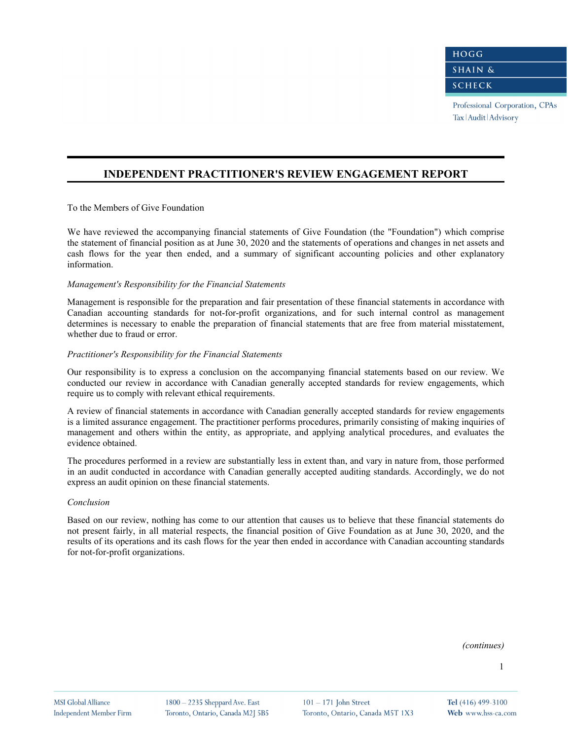Professional Corporation, CPAs Tax | Audit | Advisory

### **INDEPENDENT PRACTITIONER'S REVIEW ENGAGEMENT REPORT**

To the Members of Give Foundation

We have reviewed the accompanying financial statements of Give Foundation (the "Foundation") which comprise the statement of financial position as at June 30, 2020 and the statements of operations and changes in net assets and cash flows for the year then ended, and a summary of significant accounting policies and other explanatory information.

#### *Management's Responsibility for the Financial Statements*

Management is responsible for the preparation and fair presentation of these financial statements in accordance with Canadian accounting standards for not-for-profit organizations, and for such internal control as management determines is necessary to enable the preparation of financial statements that are free from material misstatement, whether due to fraud or error.

#### *Practitioner's Responsibility for the Financial Statements*

Our responsibility is to express a conclusion on the accompanying financial statements based on our review. We conducted our review in accordance with Canadian generally accepted standards for review engagements, which require us to comply with relevant ethical requirements.

A review of financial statements in accordance with Canadian generally accepted standards for review engagements is a limited assurance engagement. The practitioner performs procedures, primarily consisting of making inquiries of management and others within the entity, as appropriate, and applying analytical procedures, and evaluates the evidence obtained.

The procedures performed in a review are substantially less in extent than, and vary in nature from, those performed in an audit conducted in accordance with Canadian generally accepted auditing standards. Accordingly, we do not express an audit opinion on these financial statements.

#### *Conclusion*

Based on our review, nothing has come to our attention that causes us to believe that these financial statements do not present fairly, in all material respects, the financial position of Give Foundation as at June 30, 2020, and the results of its operations and its cash flows for the year then ended in accordance with Canadian accounting standards for not-for-profit organizations.

*(continues)*

 $101 - 171$  John Street Toronto, Ontario, Canada M5T 1X3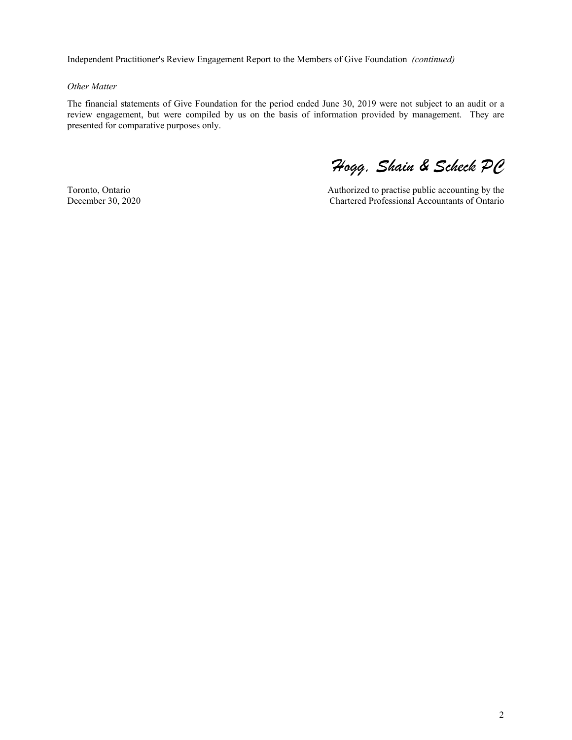Independent Practitioner's Review Engagement Report to the Members of Give Foundation *(continued)*

#### *Other Matter*

The financial statements of Give Foundation for the period ended June 30, 2019 were not subject to an audit or a review engagement, but were compiled by us on the basis of information provided by management. They are presented for comparative purposes only.

Toronto, Ontario December 30, 2020

*Hogg, Shain & Scheck PC*

Authorized to practise public accounting by the Chartered Professional Accountants of Ontario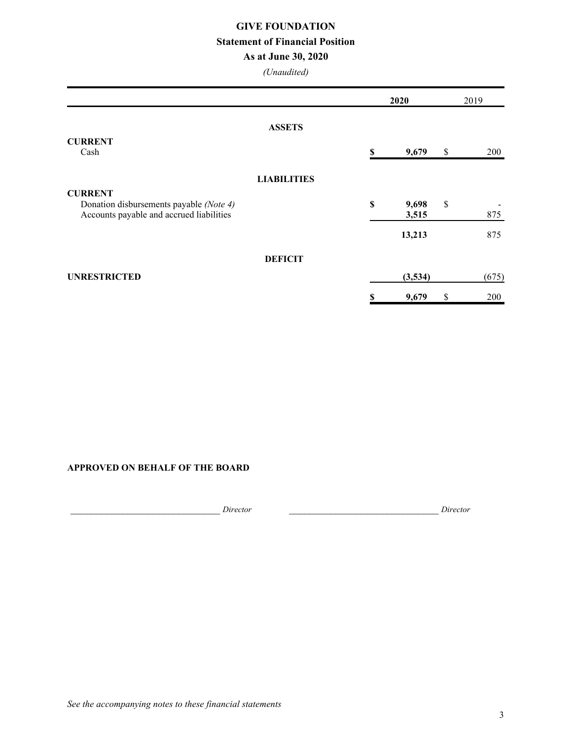### **GIVE FOUNDATION**

### **Statement of Financial Position**

### **As at June 30, 2020**

*(Unaudited)*

|                                                                                     |                    | 2020 |                | 2019 |       |
|-------------------------------------------------------------------------------------|--------------------|------|----------------|------|-------|
|                                                                                     | <b>ASSETS</b>      |      |                |      |       |
| <b>CURRENT</b>                                                                      |                    |      |                |      |       |
| Cash                                                                                |                    | \$   | 9,679          | \$   | 200   |
|                                                                                     | <b>LIABILITIES</b> |      |                |      |       |
| <b>CURRENT</b>                                                                      |                    |      |                |      |       |
| Donation disbursements payable (Note 4)<br>Accounts payable and accrued liabilities |                    | \$   | 9,698<br>3,515 | \$   | 875   |
|                                                                                     |                    |      | 13,213         |      | 875   |
|                                                                                     | <b>DEFICIT</b>     |      |                |      |       |
| <b>UNRESTRICTED</b>                                                                 |                    |      | (3,534)        |      | (675) |
|                                                                                     |                    | \$   | 9,679          | \$   | 200   |

### **APPROVED ON BEHALF OF THE BOARD**

\_\_\_\_\_\_\_\_\_\_\_\_\_\_\_\_\_\_\_\_\_\_\_\_\_\_\_\_\_ *Director* \_\_\_\_\_\_\_\_\_\_\_\_\_\_\_\_\_\_\_\_\_\_\_\_\_\_\_\_\_ *Director*

*See the accompanying notes to these financial statements*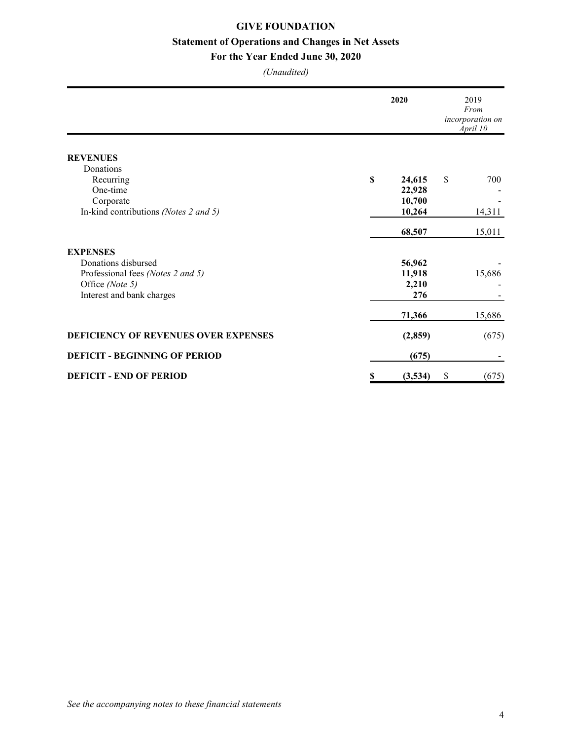## **GIVE FOUNDATION Statement of Operations and Changes in Net Assets**

### **For the Year Ended June 30, 2020**

|                                       | 2020 |         | 2019<br>From<br>incorporation on<br>April 10 |        |
|---------------------------------------|------|---------|----------------------------------------------|--------|
| <b>REVENUES</b>                       |      |         |                                              |        |
| Donations                             |      |         |                                              |        |
| Recurring                             | \$   | 24,615  | \$                                           | 700    |
| One-time                              |      | 22,928  |                                              |        |
| Corporate                             |      | 10,700  |                                              |        |
| In-kind contributions (Notes 2 and 5) |      | 10,264  |                                              | 14,311 |
|                                       |      | 68,507  |                                              | 15,011 |
| <b>EXPENSES</b>                       |      |         |                                              |        |
| Donations disbursed                   |      | 56,962  |                                              |        |
| Professional fees (Notes 2 and 5)     |      | 11,918  |                                              | 15,686 |
| Office (Note 5)                       |      | 2,210   |                                              |        |
| Interest and bank charges             |      | 276     |                                              |        |
|                                       |      | 71,366  |                                              | 15,686 |
| DEFICIENCY OF REVENUES OVER EXPENSES  |      | (2,859) |                                              | (675)  |
| <b>DEFICIT - BEGINNING OF PERIOD</b>  |      | (675)   |                                              |        |
| <b>DEFICIT - END OF PERIOD</b>        | \$   | (3,534) | \$                                           | (675)  |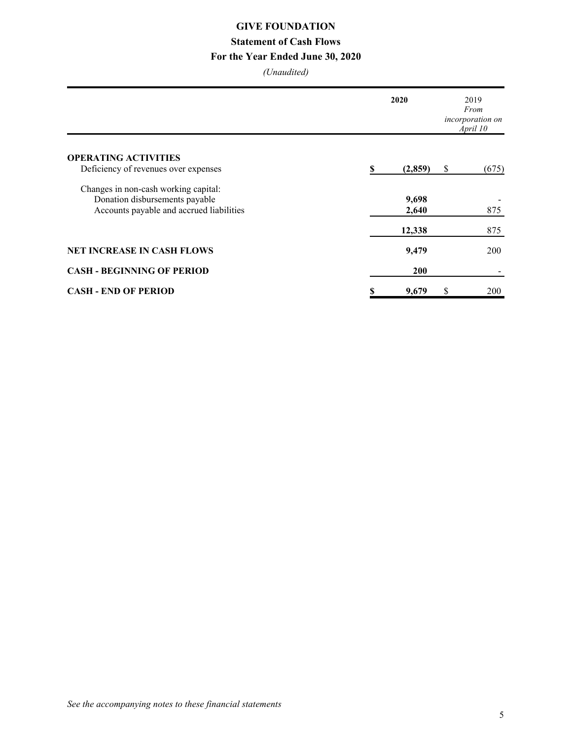# **GIVE FOUNDATION**

# **Statement of Cash Flows**

### **For the Year Ended June 30, 2020**

|                                          | 2020 |            | 2019<br>From<br>incorporation on<br>April 10 |            |
|------------------------------------------|------|------------|----------------------------------------------|------------|
| <b>OPERATING ACTIVITIES</b>              |      |            |                                              |            |
| Deficiency of revenues over expenses     | S    | (2,859)    | \$                                           | (675)      |
| Changes in non-cash working capital:     |      |            |                                              |            |
| Donation disbursements payable           |      | 9,698      |                                              |            |
| Accounts payable and accrued liabilities |      | 2,640      |                                              | 875        |
|                                          |      | 12,338     |                                              | 875        |
| <b>NET INCREASE IN CASH FLOWS</b>        |      | 9,479      |                                              | <b>200</b> |
| <b>CASH - BEGINNING OF PERIOD</b>        |      | <b>200</b> |                                              |            |
| <b>CASH - END OF PERIOD</b>              | \$   | 9,679      | \$                                           | 200        |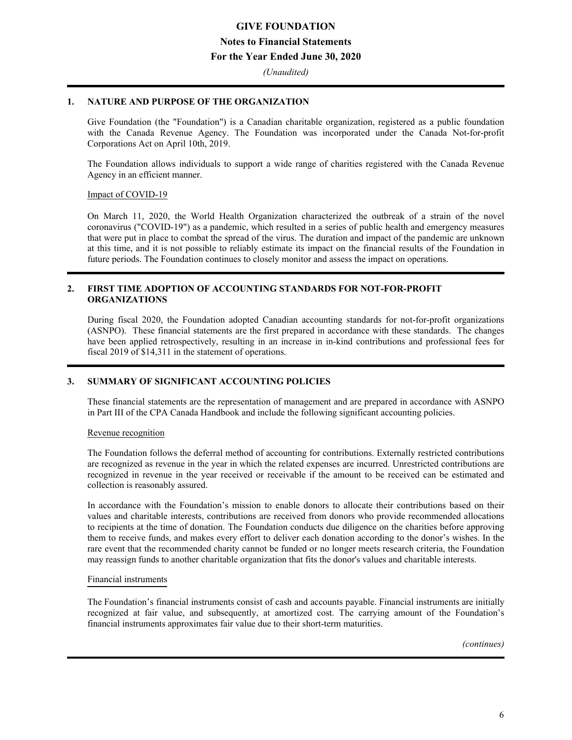## **GIVE FOUNDATION Notes to Financial Statements For the Year Ended June 30, 2020**

*(Unaudited)*

### **1. NATURE AND PURPOSE OF THE ORGANIZATION**

Give Foundation (the "Foundation") is a Canadian charitable organization, registered as a public foundation with the Canada Revenue Agency. The Foundation was incorporated under the Canada Not-for-profit Corporations Act on April 10th, 2019.

The Foundation allows individuals to support a wide range of charities registered with the Canada Revenue Agency in an efficient manner.

### Impact of COVID-19

On March 11, 2020, the World Health Organization characterized the outbreak of a strain of the novel coronavirus ("COVID-19") as a pandemic, which resulted in a series of public health and emergency measures that were put in place to combat the spread of the virus. The duration and impact of the pandemic are unknown at this time, and it is not possible to reliably estimate its impact on the financial results of the Foundation in future periods. The Foundation continues to closely monitor and assess the impact on operations.

### **2. FIRST TIME ADOPTION OF ACCOUNTING STANDARDS FOR NOT-FOR-PROFIT ORGANIZATIONS**

During fiscal 2020, the Foundation adopted Canadian accounting standards for not-for-profit organizations (ASNPO). These financial statements are the first prepared in accordance with these standards. The changes have been applied retrospectively, resulting in an increase in in-kind contributions and professional fees for fiscal 2019 of \$14,311 in the statement of operations.

### **3. SUMMARY OF SIGNIFICANT ACCOUNTING POLICIES**

These financial statements are the representation of management and are prepared in accordance with ASNPO in Part III of the CPA Canada Handbook and include the following significant accounting policies.

### Revenue recognition

The Foundation follows the deferral method of accounting for contributions. Externally restricted contributions are recognized as revenue in the year in which the related expenses are incurred. Unrestricted contributions are recognized in revenue in the year received or receivable if the amount to be received can be estimated and collection is reasonably assured.

In accordance with the Foundation's mission to enable donors to allocate their contributions based on their values and charitable interests, contributions are received from donors who provide recommended allocations to recipients at the time of donation. The Foundation conducts due diligence on the charities before approving them to receive funds, and makes every effort to deliver each donation according to the donor's wishes. In the rare event that the recommended charity cannot be funded or no longer meets research criteria, the Foundation may reassign funds to another charitable organization that fits the donor's values and charitable interests.

### Financial instruments

The Foundation's financial instruments consist of cash and accounts payable. Financial instruments are initially recognized at fair value, and subsequently, at amortized cost. The carrying amount of the Foundation's financial instruments approximates fair value due to their short-term maturities.

*(continues)*